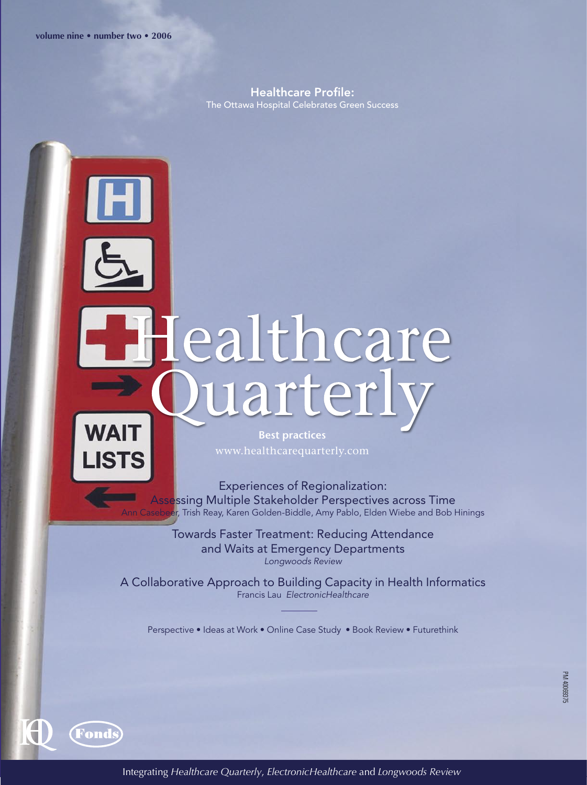Healthcare Profile: The Ottawa Hospital Celebrates Green Success

## lealthcare<br>Quarterly



**Fonds** 

**Best practices** 

Experiences of Regionalization: Assessing Multiple Stakeholder Perspectives across Time er, Trish Reay, Karen Golden-Biddle, Amy Pablo, Elden Wiebe and Bob Hinings

> Towards Faster Treatment: Reducing Attendance and Waits at Emergency Departments Longwoods Review

A Collaborative Approach to Building Capacity in Health Informatics Francis Lau ElectronicHealthcare

Perspective • Ideas at Work • Online Case Study • Book Review • Futurethink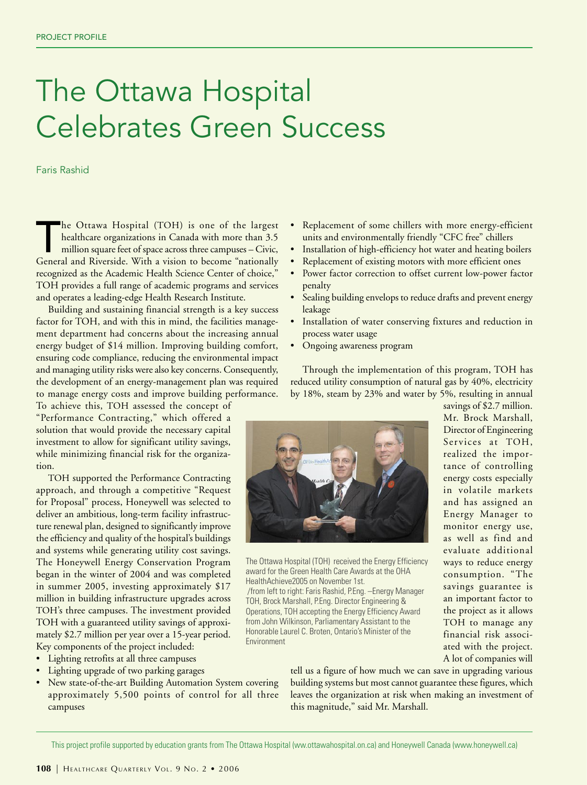## The Ottawa Hospital Celebrates Green Success

Faris Rashid

The Ottawa Hospital (TOH) is one of the largest healthcare organizations in Canada with more than 3.5 million square feet of space across three campuses – Civic, General and Riverside. With a vision to become "nationally recognized as the Academic Health Science Center of choice," TOH provides a full range of academic programs and services and operates a leading-edge Health Research Institute.

Building and sustaining financial strength is a key success factor for TOH, and with this in mind, the facilities management department had concerns about the increasing annual energy budget of \$14 million. Improving building comfort, ensuring code compliance, reducing the environmental impact and managing utility risks were also key concerns. Consequently, the development of an energy-management plan was required to manage energy costs and improve building performance.

To achieve this, TOH assessed the concept of "Performance Contracting," which offered a solution that would provide the necessary capital investment to allow for significant utility savings, while minimizing financial risk for the organization.

TOH supported the Performance Contracting approach, and through a competitive "Request for Proposal" process, Honeywell was selected to deliver an ambitious, long-term facility infrastructure renewal plan, designed to significantly improve the efficiency and quality of the hospital's buildings and systems while generating utility cost savings. The Honeywell Energy Conservation Program began in the winter of 2004 and was completed in summer 2005, investing approximately \$17 million in building infrastructure upgrades across TOH's three campuses. The investment provided TOH with a guaranteed utility savings of approximately \$2.7 million per year over a 15-year period. Key components of the project included:

- Lighting retrofits at all three campuses
- Lighting upgrade of two parking garages
- New state-of-the-art Building Automation System covering approximately 5,500 points of control for all three campuses
- Replacement of some chillers with more energy-efficient units and environmentally friendly "CFC free" chillers
- Installation of high-efficiency hot water and heating boilers
- Replacement of existing motors with more efficient ones
- Power factor correction to offset current low-power factor penalty
- Sealing building envelops to reduce drafts and prevent energy leakage
- Installation of water conserving fixtures and reduction in process water usage
- Ongoing awareness program

Through the implementation of this program, TOH has reduced utility consumption of natural gas by 40%, electricity by 18%, steam by 23% and water by 5%, resulting in annual

> savings of \$2.7 million. Mr. Brock Marshall, Director of Engineering Services at TOH, realized the importance of controlling energy costs especially in volatile markets and has assigned an Energy Manager to monitor energy use, as well as find and evaluate additional ways to reduce energy consumption. "The savings guarantee is an important factor to the project as it allows TOH to manage any financial risk associated with the project. A lot of companies will



The Ottawa Hospital (TOH) received the Energy Efficiency award for the Green Health Care Awards at the OHA HealthAchieve2005 on November 1st. /from left to right: Faris Rashid, P.Eng. –Energy Manager TOH, Brock Marshall, P.Eng. Director Engineering & Operations, TOH accepting the Energy Efficiency Award from John Wilkinson, Parliamentary Assistant to the Honorable Laurel C. Broten, Ontario's Minister of the Environment

tell us a figure of how much we can save in upgrading various building systems but most cannot guarantee these figures, which leaves the organization at risk when making an investment of this magnitude," said Mr. Marshall.

This project profile supported by education grants from The Ottawa Hospital (ww.ottawahospital.on.ca) and Honeywell Canada (www.honeywell.ca)